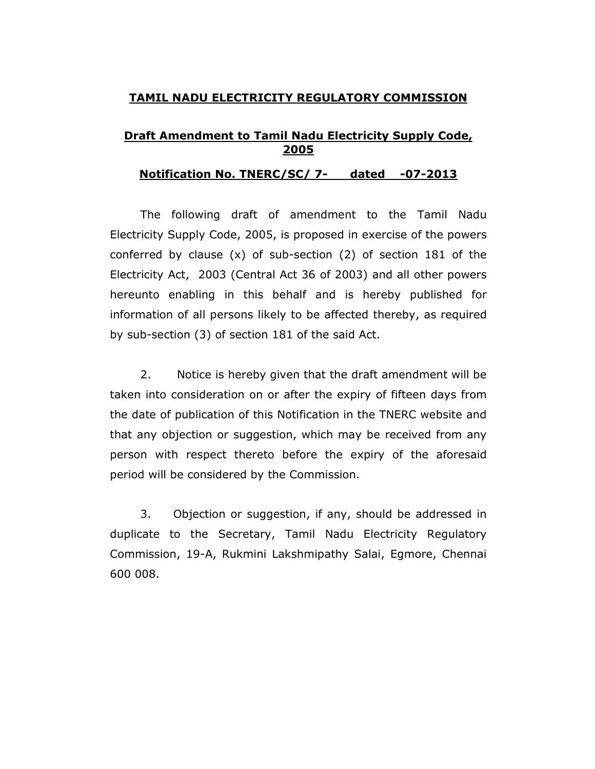## TAMIL NADU ELECTRICITY REGULATORY COMMISSION

## Draft Amendment to Tamil Nadu Electricity Supply Code, 2005

## Notification No. TNERC/SC/ 7- dated -07-2013

The following draft of amendment to the Tamil Nadu Electricity Supply Code, 2005, is proposed in exercise of the powers conferred by clause (x) of sub-section (2) of section 181 of the Electricity Act, 2003 (Central Act 36 of 2003) and all other powers hereunto enabling in this behalf and is hereby published for information of all persons likely to be affected thereby, as required by sub-section (3) of section 181 of the said Act.

2. Notice is hereby given that the draft amendment will be taken into consideration on or after the expiry of fifteen days from the date of publication of this Notification in the TNERC website and that any objection or suggestion, which may be received from any person with respect thereto before the expiry of the aforesaid period will be considered by the Commission.

3. Objection or suggestion, if any, should be addressed in duplicate to the Secretary, Tamil Nadu Electricity Regulatory Commission, 19-A, Rukmini Lakshmipathy Salai, Egmore, Chennai 600 008.